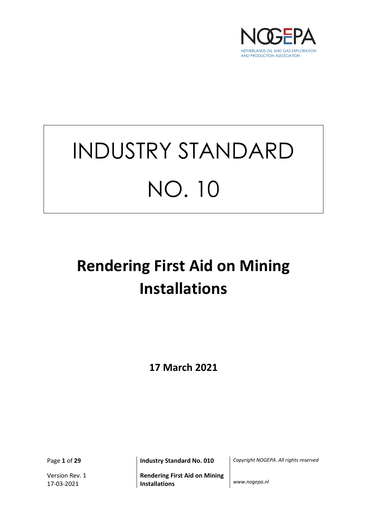

# INDUSTRY STANDARD NO. 10

## **Rendering First Aid on Mining Installations**

**17 March 2021** 

Version Rev. 1 17-03-2021

**Rendering First Aid on Mining Installations** *www.nogepa.nl*

Page **1** of **29 Industry Standard No. 010** *Copyright NOGEPA. All rights reserved*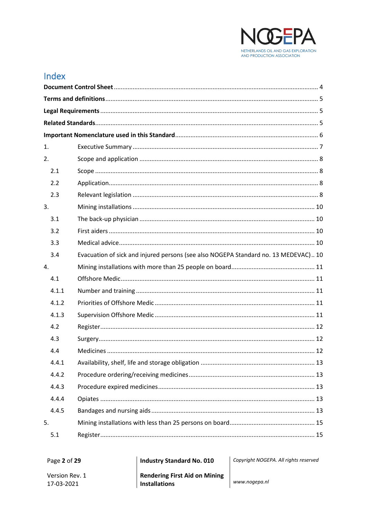

## Index

| 1. |       |                                                                                     |  |  |  |
|----|-------|-------------------------------------------------------------------------------------|--|--|--|
| 2. |       |                                                                                     |  |  |  |
|    | 2.1   |                                                                                     |  |  |  |
|    | 2.2   |                                                                                     |  |  |  |
|    | 2.3   |                                                                                     |  |  |  |
| 3. |       |                                                                                     |  |  |  |
|    | 3.1   |                                                                                     |  |  |  |
|    | 3.2   |                                                                                     |  |  |  |
|    | 3.3   |                                                                                     |  |  |  |
|    | 3.4   | Evacuation of sick and injured persons (see also NOGEPA Standard no. 13 MEDEVAC) 10 |  |  |  |
| 4. |       |                                                                                     |  |  |  |
|    | 4.1   |                                                                                     |  |  |  |
|    | 4.1.1 |                                                                                     |  |  |  |
|    | 4.1.2 |                                                                                     |  |  |  |
|    | 4.1.3 |                                                                                     |  |  |  |
|    | 4.2   |                                                                                     |  |  |  |
|    | 4.3   |                                                                                     |  |  |  |
|    | 4.4   |                                                                                     |  |  |  |
|    | 4.4.1 |                                                                                     |  |  |  |
|    | 4.4.2 |                                                                                     |  |  |  |
|    | 4.4.3 |                                                                                     |  |  |  |
|    | 4.4.4 |                                                                                     |  |  |  |
|    | 4.4.5 |                                                                                     |  |  |  |
| 5. |       |                                                                                     |  |  |  |
|    | 5.1   |                                                                                     |  |  |  |

| Page 2 of 29                 | <b>Industry Standard No. 010</b>                             | Copyright NOGEPA. All rights reserved |
|------------------------------|--------------------------------------------------------------|---------------------------------------|
| Version Rev. 1<br>17-03-2021 | <b>Rendering First Aid on Mining</b><br><b>Installations</b> | www.nogepa.nl                         |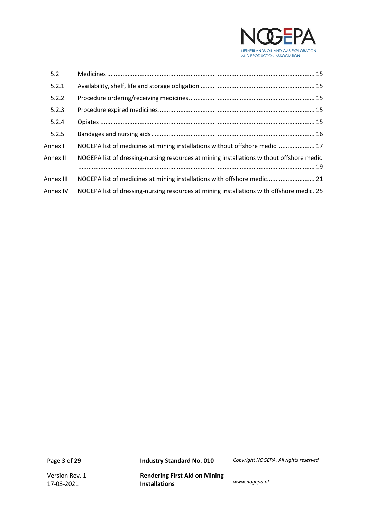

| 5.2       |                                                                                           |  |
|-----------|-------------------------------------------------------------------------------------------|--|
| 5.2.1     |                                                                                           |  |
| 5.2.2     |                                                                                           |  |
| 5.2.3     |                                                                                           |  |
| 5.2.4     |                                                                                           |  |
| 5.2.5     |                                                                                           |  |
| Annex I   | NOGEPA list of medicines at mining installations without offshore medic  17               |  |
| Annex II  | NOGEPA list of dressing-nursing resources at mining installations without offshore medic  |  |
| Annex III | NOGEPA list of medicines at mining installations with offshore medic 21                   |  |
| Annex IV  | NOGEPA list of dressing-nursing resources at mining installations with offshore medic. 25 |  |

Version Rev. 1 17-03-2021

**Rendering First Aid on Mining Installations** *www.nogepa.nl*

Page **3** of **29 Industry Standard No. 010** *Copyright NOGEPA. All rights reserved*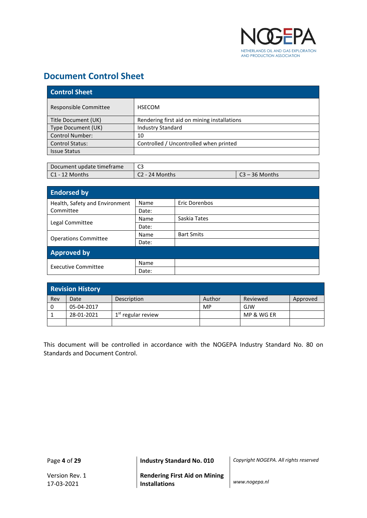

## <span id="page-3-0"></span>**Document Control Sheet**

| <b>Control Sheet</b>   |                                             |  |
|------------------------|---------------------------------------------|--|
| Responsible Committee  | <b>HSECOM</b>                               |  |
| Title Document (UK)    | Rendering first aid on mining installations |  |
| Type Document (UK)     | <b>Industry Standard</b>                    |  |
| <b>Control Number:</b> | 10                                          |  |
| <b>Control Status:</b> | Controlled / Uncontrolled when printed      |  |
| <b>Issue Status</b>    |                                             |  |

| Document update timeframe | C3               |                  |  |
|---------------------------|------------------|------------------|--|
| C1 - 12 Months            | $C2 - 24$ Months | $C3 - 36$ Months |  |

| <b>Endorsed by</b>             |       |                   |  |
|--------------------------------|-------|-------------------|--|
| Health, Safety and Environment | Name  | Eric Dorenbos     |  |
| Committee                      | Date: |                   |  |
|                                | Name  | Saskia Tates      |  |
| Legal Committee                | Date: |                   |  |
|                                | Name  | <b>Bart Smits</b> |  |
| <b>Operations Committee</b>    | Date: |                   |  |
| <b>Approved by</b>             |       |                   |  |
| <b>Executive Committee</b>     | Name  |                   |  |
|                                | Date: |                   |  |

| <b>Revision History</b> |            |                      |        |            |          |
|-------------------------|------------|----------------------|--------|------------|----------|
| Rev                     | Date       | Description          | Author | Reviewed   | Approved |
|                         | 05-04-2017 |                      | MP     | GJW        |          |
|                         | 28-01-2021 | $1st$ regular review |        | MP & WG ER |          |
|                         |            |                      |        |            |          |

This document will be controlled in accordance with the NOGEPA Industry Standard No. 80 on Standards and Document Control.

Page **4** of **29 Industry Standard No. 010** *Copyright NOGEPA. All rights reserved*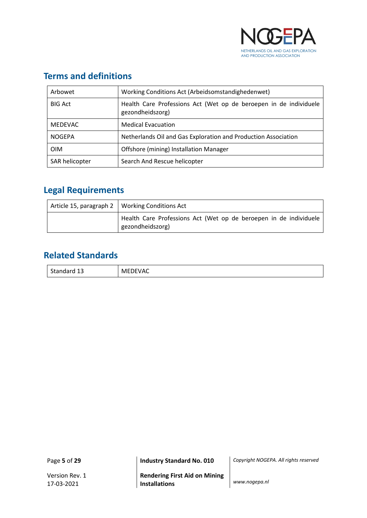

## <span id="page-4-0"></span>**Terms and definitions**

| Arbowet        | Working Conditions Act (Arbeidsomstandighedenwet)                                     |  |  |
|----------------|---------------------------------------------------------------------------------------|--|--|
| <b>BIG Act</b> | Health Care Professions Act (Wet op de beroepen in de individuele<br>gezondheidszorg) |  |  |
| <b>MEDEVAC</b> | <b>Medical Evacuation</b>                                                             |  |  |
| <b>NOGEPA</b>  | Netherlands Oil and Gas Exploration and Production Association                        |  |  |
| <b>OIM</b>     | Offshore (mining) Installation Manager                                                |  |  |
| SAR helicopter | Search And Rescue helicopter                                                          |  |  |

## <span id="page-4-1"></span>**Legal Requirements**

| Article 15, paragraph 2   Working Conditions Act                                      |
|---------------------------------------------------------------------------------------|
| Health Care Professions Act (Wet op de beroepen in de individuele<br>gezondheidszorg) |

## <span id="page-4-2"></span>**Related Standards**

| $\sim$ $\sim$ | 10C      |
|---------------|----------|
| <b>C</b> +    | м        |
| otanuaru -    | $\cdots$ |
| ັບ ⊥ປ         | . Y I U  |
|               |          |

Page **5** of **29 Industry Standard No. 010** *Copyright NOGEPA. All rights reserved*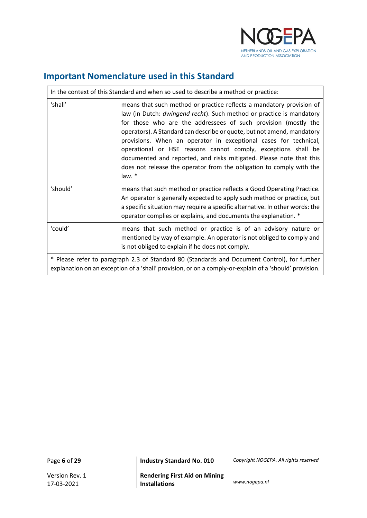

## <span id="page-5-0"></span>**Important Nomenclature used in this Standard**

| In the context of this Standard and when so used to describe a method or practice:                                                                                                                     |                                                                                                                                                                                                                                                                                                                                                                                                                                                                                                                                                                                        |  |
|--------------------------------------------------------------------------------------------------------------------------------------------------------------------------------------------------------|----------------------------------------------------------------------------------------------------------------------------------------------------------------------------------------------------------------------------------------------------------------------------------------------------------------------------------------------------------------------------------------------------------------------------------------------------------------------------------------------------------------------------------------------------------------------------------------|--|
| 'shall'                                                                                                                                                                                                | means that such method or practice reflects a mandatory provision of<br>law (in Dutch: dwingend recht). Such method or practice is mandatory<br>for those who are the addressees of such provision (mostly the<br>operators). A Standard can describe or quote, but not amend, mandatory<br>provisions. When an operator in exceptional cases for technical,<br>operational or HSE reasons cannot comply, exceptions shall be<br>documented and reported, and risks mitigated. Please note that this<br>does not release the operator from the obligation to comply with the<br>law. * |  |
| 'should'                                                                                                                                                                                               | means that such method or practice reflects a Good Operating Practice.<br>An operator is generally expected to apply such method or practice, but<br>a specific situation may require a specific alternative. In other words: the<br>operator complies or explains, and documents the explanation. *                                                                                                                                                                                                                                                                                   |  |
| 'could'                                                                                                                                                                                                | means that such method or practice is of an advisory nature or<br>mentioned by way of example. An operator is not obliged to comply and<br>is not obliged to explain if he does not comply.                                                                                                                                                                                                                                                                                                                                                                                            |  |
| * Please refer to paragraph 2.3 of Standard 80 (Standards and Document Control), for further<br>explanation on an exception of a 'shall' provision, or on a comply-or-explain of a 'should' provision. |                                                                                                                                                                                                                                                                                                                                                                                                                                                                                                                                                                                        |  |

 $\mathbf{r}$ 

Page **6** of **29 Industry Standard No. 010** *Copyright NOGEPA. All rights reserved*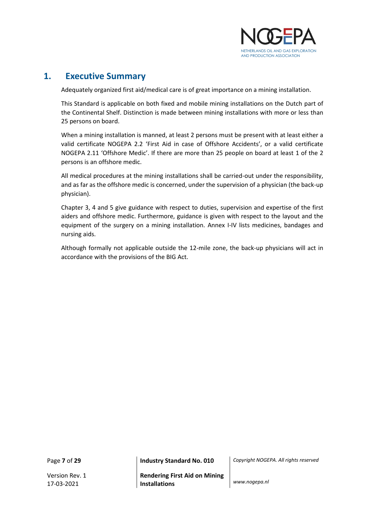

### <span id="page-6-0"></span>**1. Executive Summary**

Adequately organized first aid/medical care is of great importance on a mining installation.

This Standard is applicable on both fixed and mobile mining installations on the Dutch part of the Continental Shelf. Distinction is made between mining installations with more or less than 25 persons on board.

When a mining installation is manned, at least 2 persons must be present with at least either a valid certificate NOGEPA 2.2 'First Aid in case of Offshore Accidents', or a valid certificate NOGEPA 2.11 'Offshore Medic'. If there are more than 25 people on board at least 1 of the 2 persons is an offshore medic.

All medical procedures at the mining installations shall be carried-out under the responsibility, and as far as the offshore medic is concerned, under the supervision of a physician (the back-up physician).

Chapter 3, 4 and 5 give guidance with respect to duties, supervision and expertise of the first aiders and offshore medic. Furthermore, guidance is given with respect to the layout and the equipment of the surgery on a mining installation. Annex I-IV lists medicines, bandages and nursing aids.

Although formally not applicable outside the 12-mile zone, the back-up physicians will act in accordance with the provisions of the BIG Act.

Page **7** of **29 Industry Standard No. 010** *Copyright NOGEPA. All rights reserved*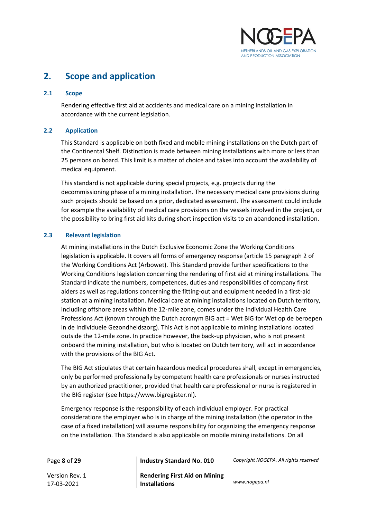

## <span id="page-7-0"></span>**2. Scope and application**

#### <span id="page-7-1"></span>**2.1 Scope**

Rendering effective first aid at accidents and medical care on a mining installation in accordance with the current legislation.

#### <span id="page-7-2"></span>**2.2 Application**

This Standard is applicable on both fixed and mobile mining installations on the Dutch part of the Continental Shelf. Distinction is made between mining installations with more or less than 25 persons on board. This limit is a matter of choice and takes into account the availability of medical equipment.

This standard is not applicable during special projects, e.g. projects during the decommissioning phase of a mining installation. The necessary medical care provisions during such projects should be based on a prior, dedicated assessment. The assessment could include for example the availability of medical care provisions on the vessels involved in the project, or the possibility to bring first aid kits during short inspection visits to an abandoned installation.

#### <span id="page-7-3"></span>**2.3 Relevant legislation**

At mining installations in the Dutch Exclusive Economic Zone the Working Conditions legislation is applicable. It covers all forms of emergency response (article 15 paragraph 2 of the Working Conditions Act (Arbowet). This Standard provide further specifications to the Working Conditions legislation concerning the rendering of first aid at mining installations. The Standard indicate the numbers, competences, duties and responsibilities of company first aiders as well as regulations concerning the fitting-out and equipment needed in a first-aid station at a mining installation. Medical care at mining installations located on Dutch territory, including offshore areas within the 12-mile zone, comes under the Individual Health Care Professions Act (known through the Dutch acronym BIG act = Wet BIG for Wet op de beroepen in de Individuele Gezondheidszorg). This Act is not applicable to mining installations located outside the 12-mile zone. In practice however, the back-up physician, who is not present onboard the mining installation, but who is located on Dutch territory, will act in accordance with the provisions of the BIG Act.

The BIG Act stipulates that certain hazardous medical procedures shall, except in emergencies, only be performed professionally by competent health care professionals or nurses instructed by an authorized practitioner, provided that health care professional or nurse is registered in the BIG register (see https://www.bigregister.nl).

Emergency response is the responsibility of each individual employer. For practical considerations the employer who is in charge of the mining installation (the operator in the case of a fixed installation) will assume responsibility for organizing the emergency response on the installation. This Standard is also applicable on mobile mining installations. On all

Version Rev. 1 17-03-2021

Page **8** of **29 Industry Standard No. 010** *Copyright NOGEPA. All rights reserved*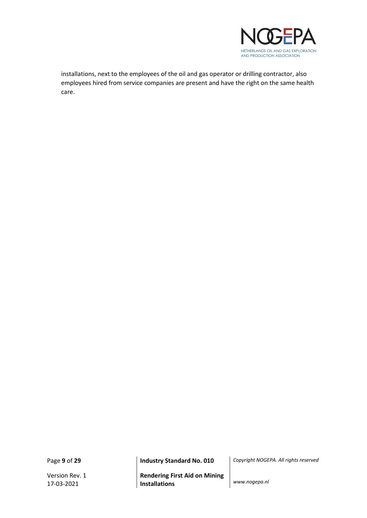

installations, next to the employees of the oil and gas operator or drilling contractor, also employees hired from service companies are present and have the right on the same health care.

Version Rev. 1 17-03-2021

Page **9** of **29 Industry Standard No. 010** *Copyright NOGEPA. All rights reserved*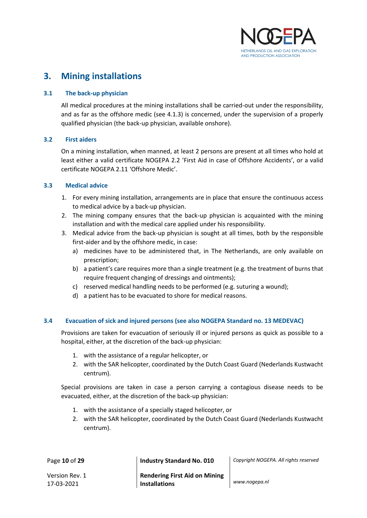

## <span id="page-9-0"></span>**3. Mining installations**

#### <span id="page-9-1"></span>**3.1 The back-up physician**

All medical procedures at the mining installations shall be carried-out under the responsibility, and as far as the offshore medic (see 4.1.3) is concerned, under the supervision of a properly qualified physician (the back-up physician, available onshore).

#### <span id="page-9-2"></span>**3.2 First aiders**

On a mining installation, when manned, at least 2 persons are present at all times who hold at least either a valid certificate NOGEPA 2.2 'First Aid in case of Offshore Accidents', or a valid certificate NOGEPA 2.11 'Offshore Medic'.

#### <span id="page-9-3"></span>**3.3 Medical advice**

- 1. For every mining installation, arrangements are in place that ensure the continuous access to medical advice by a back-up physician.
- 2. The mining company ensures that the back-up physician is acquainted with the mining installation and with the medical care applied under his responsibility.
- 3. Medical advice from the back-up physician is sought at all times, both by the responsible first-aider and by the offshore medic, in case:
	- a) medicines have to be administered that, in The Netherlands, are only available on prescription;
	- b) a patient's care requires more than a single treatment (e.g. the treatment of burns that require frequent changing of dressings and ointments);
	- c) reserved medical handling needs to be performed (e.g. suturing a wound);
	- d) a patient has to be evacuated to shore for medical reasons.

#### <span id="page-9-4"></span>**3.4 Evacuation of sick and injured persons (see also NOGEPA Standard no. 13 MEDEVAC)**

Provisions are taken for evacuation of seriously ill or injured persons as quick as possible to a hospital, either, at the discretion of the back-up physician:

- 1. with the assistance of a regular helicopter, or
- 2. with the SAR helicopter, coordinated by the Dutch Coast Guard (Nederlands Kustwacht centrum).

Special provisions are taken in case a person carrying a contagious disease needs to be evacuated, either, at the discretion of the back-up physician:

- 1. with the assistance of a specially staged helicopter, or
- 2. with the SAR helicopter, coordinated by the Dutch Coast Guard (Nederlands Kustwacht centrum).

| Page 10 of 29                | <b>Industry Standard No. 010</b>                             | Copyright NOGEPA. All rights reserved |
|------------------------------|--------------------------------------------------------------|---------------------------------------|
| Version Rev. 1<br>17-03-2021 | <b>Rendering First Aid on Mining</b><br><b>Installations</b> | www.nogepa.nl                         |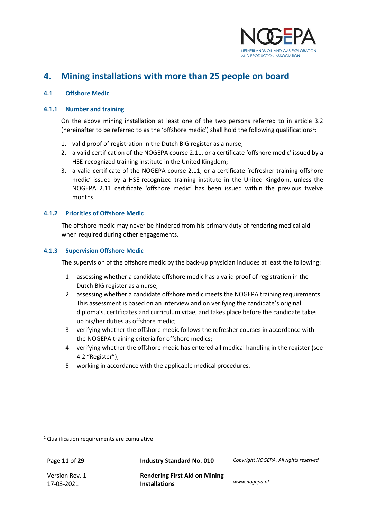

## <span id="page-10-0"></span>**4. Mining installations with more than 25 people on board**

#### <span id="page-10-1"></span>**4.1 Offshore Medic**

#### <span id="page-10-2"></span>**4.1.1 Number and training**

On the above mining installation at least one of the two persons referred to in article 3.2 (hereinafter to be referred to as the 'offshore medic') shall hold the following qualifications<sup>1</sup>:

- 1. valid proof of registration in the Dutch BIG register as a nurse;
- 2. a valid certification of the NOGEPA course 2.11, or a certificate 'offshore medic' issued by a HSE-recognized training institute in the United Kingdom;
- 3. a valid certificate of the NOGEPA course 2.11, or a certificate 'refresher training offshore medic' issued by a HSE-recognized training institute in the United Kingdom, unless the NOGEPA 2.11 certificate 'offshore medic' has been issued within the previous twelve months.

#### <span id="page-10-3"></span>**4.1.2 Priorities of Offshore Medic**

The offshore medic may never be hindered from his primary duty of rendering medical aid when required during other engagements.

#### <span id="page-10-4"></span>**4.1.3 Supervision Offshore Medic**

The supervision of the offshore medic by the back-up physician includes at least the following:

- 1. assessing whether a candidate offshore medic has a valid proof of registration in the Dutch BIG register as a nurse;
- 2. assessing whether a candidate offshore medic meets the NOGEPA training requirements. This assessment is based on an interview and on verifying the candidate's original diploma's, certificates and curriculum vitae, and takes place before the candidate takes up his/her duties as offshore medic;
- 3. verifying whether the offshore medic follows the refresher courses in accordance with the NOGEPA training criteria for offshore medics;
- 4. verifying whether the offshore medic has entered all medical handling in the register (see 4.2 "Register");
- 5. working in accordance with the applicable medical procedures.

Version Rev. 1 17-03-2021

Page **11** of **29 Industry Standard No. 010** *Copyright NOGEPA. All rights reserved*

<sup>&</sup>lt;sup>1</sup> Qualification requirements are cumulative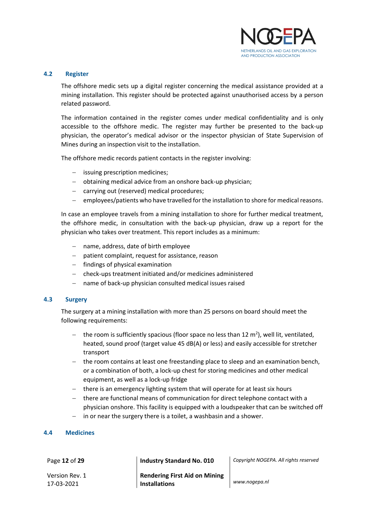

#### <span id="page-11-0"></span>**4.2 Register**

The offshore medic sets up a digital register concerning the medical assistance provided at a mining installation. This register should be protected against unauthorised access by a person related password.

The information contained in the register comes under medical confidentiality and is only accessible to the offshore medic. The register may further be presented to the back-up physician, the operator's medical advisor or the inspector physician of State Supervision of Mines during an inspection visit to the installation.

The offshore medic records patient contacts in the register involving:

- − issuing prescription medicines;
- − obtaining medical advice from an onshore back-up physician;
- − carrying out (reserved) medical procedures;
- − employees/patients who have travelled for the installation to shore for medical reasons.

In case an employee travels from a mining installation to shore for further medical treatment, the offshore medic, in consultation with the back-up physician, draw up a report for the physician who takes over treatment. This report includes as a minimum:

- − name, address, date of birth employee
- − patient complaint, request for assistance, reason
- − findings of physical examination
- − check-ups treatment initiated and/or medicines administered
- name of back-up physician consulted medical issues raised

#### <span id="page-11-1"></span>**4.3 Surgery**

The surgery at a mining installation with more than 25 persons on board should meet the following requirements:

- − the room is sufficiently spacious (floor space no less than 12 m<sup>2</sup>), well lit, ventilated, heated, sound proof (target value 45 dB(A) or less) and easily accessible for stretcher transport
- − the room contains at least one freestanding place to sleep and an examination bench, or a combination of both, a lock-up chest for storing medicines and other medical equipment, as well as a lock-up fridge
- − there is an emergency lighting system that will operate for at least six hours
- − there are functional means of communication for direct telephone contact with a physician onshore. This facility is equipped with a loudspeaker that can be switched off
- in or near the surgery there is a toilet, a washbasin and a shower.

#### <span id="page-11-2"></span>**4.4 Medicines**

Page **12** of **29 Industry Standard No. 010** *Copyright NOGEPA. All rights reserved*

Version Rev. 1 17-03-2021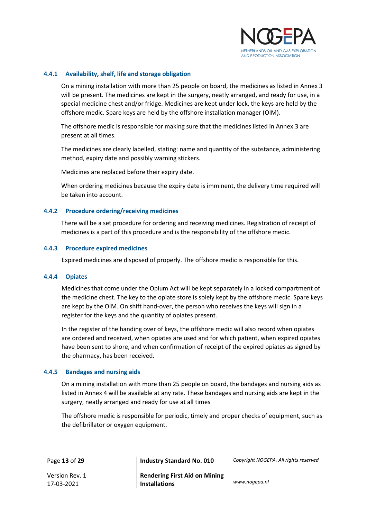

#### <span id="page-12-0"></span>**4.4.1 Availability, shelf, life and storage obligation**

On a mining installation with more than 25 people on board, the medicines as listed in Annex 3 will be present. The medicines are kept in the surgery, neatly arranged, and ready for use, in a special medicine chest and/or fridge. Medicines are kept under lock, the keys are held by the offshore medic. Spare keys are held by the offshore installation manager (OIM).

The offshore medic is responsible for making sure that the medicines listed in Annex 3 are present at all times.

The medicines are clearly labelled, stating: name and quantity of the substance, administering method, expiry date and possibly warning stickers.

Medicines are replaced before their expiry date.

When ordering medicines because the expiry date is imminent, the delivery time required will be taken into account.

#### <span id="page-12-1"></span>**4.4.2 Procedure ordering/receiving medicines**

There will be a set procedure for ordering and receiving medicines. Registration of receipt of medicines is a part of this procedure and is the responsibility of the offshore medic.

#### <span id="page-12-2"></span>**4.4.3 Procedure expired medicines**

Expired medicines are disposed of properly. The offshore medic is responsible for this.

#### <span id="page-12-3"></span>**4.4.4 Opiates**

Medicines that come under the Opium Act will be kept separately in a locked compartment of the medicine chest. The key to the opiate store is solely kept by the offshore medic. Spare keys are kept by the OIM. On shift hand-over, the person who receives the keys will sign in a register for the keys and the quantity of opiates present.

In the register of the handing over of keys, the offshore medic will also record when opiates are ordered and received, when opiates are used and for which patient, when expired opiates have been sent to shore, and when confirmation of receipt of the expired opiates as signed by the pharmacy, has been received.

#### <span id="page-12-4"></span>**4.4.5 Bandages and nursing aids**

On a mining installation with more than 25 people on board, the bandages and nursing aids as listed in Annex 4 will be available at any rate. These bandages and nursing aids are kept in the surgery, neatly arranged and ready for use at all times

The offshore medic is responsible for periodic, timely and proper checks of equipment, such as the defibrillator or oxygen equipment.

Page **13** of **29 Industry Standard No. 010** *Copyright NOGEPA. All rights reserved*

Version Rev. 1 17-03-2021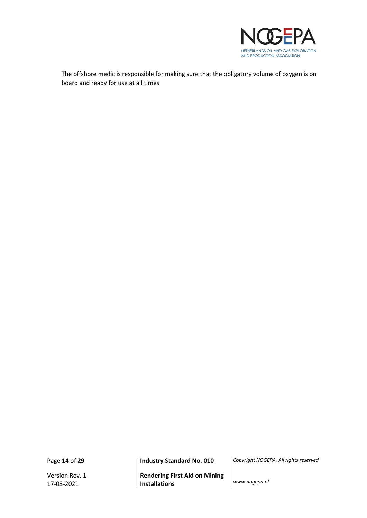

The offshore medic is responsible for making sure that the obligatory volume of oxygen is on board and ready for use at all times.

Version Rev. 1 17-03-2021

Page **14** of **29 Industry Standard No. 010** *Copyright NOGEPA. All rights reserved*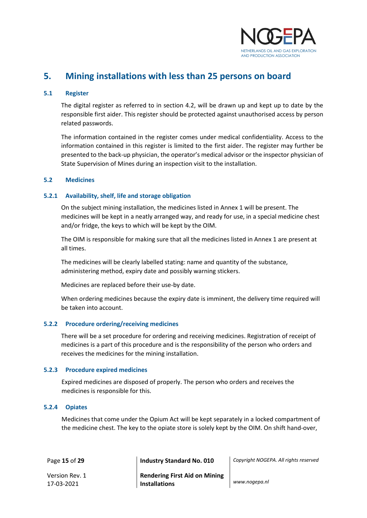

## <span id="page-14-0"></span>**5. Mining installations with less than 25 persons on board**

#### <span id="page-14-1"></span>**5.1 Register**

The digital register as referred to in section 4.2, will be drawn up and kept up to date by the responsible first aider. This register should be protected against unauthorised access by person related passwords.

The information contained in the register comes under medical confidentiality. Access to the information contained in this register is limited to the first aider. The register may further be presented to the back-up physician, the operator's medical advisor or the inspector physician of State Supervision of Mines during an inspection visit to the installation.

#### <span id="page-14-2"></span>**5.2 Medicines**

#### <span id="page-14-3"></span>**5.2.1 Availability, shelf, life and storage obligation**

On the subject mining installation, the medicines listed in Annex 1 will be present. The medicines will be kept in a neatly arranged way, and ready for use, in a special medicine chest and/or fridge, the keys to which will be kept by the OIM.

The OIM is responsible for making sure that all the medicines listed in Annex 1 are present at all times.

The medicines will be clearly labelled stating: name and quantity of the substance, administering method, expiry date and possibly warning stickers.

Medicines are replaced before their use-by date.

When ordering medicines because the expiry date is imminent, the delivery time required will be taken into account.

#### <span id="page-14-4"></span>**5.2.2 Procedure ordering/receiving medicines**

There will be a set procedure for ordering and receiving medicines. Registration of receipt of medicines is a part of this procedure and is the responsibility of the person who orders and receives the medicines for the mining installation.

#### <span id="page-14-5"></span>**5.2.3 Procedure expired medicines**

Expired medicines are disposed of properly. The person who orders and receives the medicines is responsible for this.

#### <span id="page-14-6"></span>**5.2.4 Opiates**

Medicines that come under the Opium Act will be kept separately in a locked compartment of the medicine chest. The key to the opiate store is solely kept by the OIM. On shift hand-over,

Page **15** of **29 Industry Standard No. 010** *Copyright NOGEPA. All rights reserved*

Version Rev. 1 17-03-2021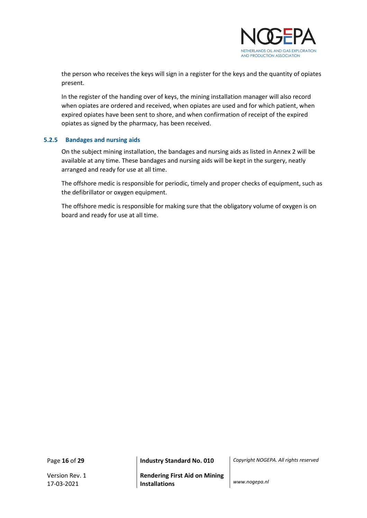

the person who receives the keys will sign in a register for the keys and the quantity of opiates present.

In the register of the handing over of keys, the mining installation manager will also record when opiates are ordered and received, when opiates are used and for which patient, when expired opiates have been sent to shore, and when confirmation of receipt of the expired opiates as signed by the pharmacy, has been received.

#### <span id="page-15-0"></span>**5.2.5 Bandages and nursing aids**

On the subject mining installation, the bandages and nursing aids as listed in Annex 2 will be available at any time. These bandages and nursing aids will be kept in the surgery, neatly arranged and ready for use at all time.

The offshore medic is responsible for periodic, timely and proper checks of equipment, such as the defibrillator or oxygen equipment.

The offshore medic is responsible for making sure that the obligatory volume of oxygen is on board and ready for use at all time.

Page **16** of **29 Industry Standard No. 010** *Copyright NOGEPA. All rights reserved*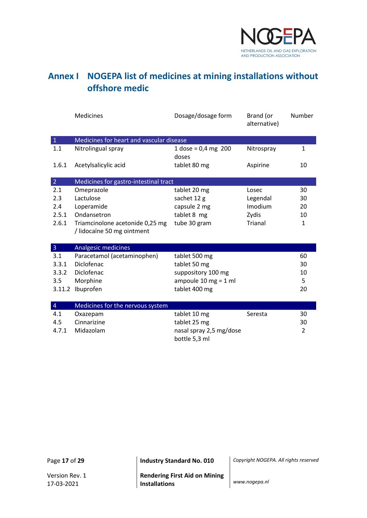

## <span id="page-16-0"></span>**Annex I NOGEPA list of medicines at mining installations without offshore medic**

|                | <b>Medicines</b>                         | Dosage/dosage form                       | Brand (or<br>alternative) | Number         |
|----------------|------------------------------------------|------------------------------------------|---------------------------|----------------|
| $\mathbf 1$    | Medicines for heart and vascular disease |                                          |                           |                |
| 1.1            | Nitrolingual spray                       | 1 dose = $0,4$ mg 200<br>doses           | Nitrospray                | 1              |
| 1.6.1          | Acetylsalicylic acid                     | tablet 80 mg                             | Aspirine                  | 10             |
| $\overline{2}$ | Medicines for gastro-intestinal tract    |                                          |                           |                |
| 2.1            | Omeprazole                               | tablet 20 mg                             | Losec                     | 30             |
| 2.3            | Lactulose                                | sachet 12 g                              | Legendal                  | 30             |
| 2.4            | Loperamide                               | capsule 2 mg                             | Imodium                   | 20             |
| 2.5.1          | Ondansetron                              | tablet 8 mg                              | Zydis                     | 10             |
| 2.6.1          | Triamcinolone acetonide 0,25 mg          | tube 30 gram                             | Trianal                   | $\mathbf{1}$   |
|                | / lidocaïne 50 mg ointment               |                                          |                           |                |
| $\overline{3}$ | Analgesic medicines                      |                                          |                           |                |
| 3.1            | Paracetamol (acetaminophen)              | tablet 500 mg                            |                           | 60             |
| 3.3.1          | Diclofenac                               | tablet 50 mg                             |                           | 30             |
| 3.3.2          | Diclofenac                               | suppository 100 mg                       |                           | 10             |
| 3.5            | Morphine                                 | ampoule $10 \text{ mg} = 1 \text{ ml}$   |                           | 5              |
|                | 3.11.2 Ibuprofen                         | tablet 400 mg                            |                           | 20             |
|                |                                          |                                          |                           |                |
| $\overline{4}$ | Medicines for the nervous system         |                                          |                           |                |
| 4.1            | Oxazepam                                 | tablet 10 mg                             | Seresta                   | 30             |
| 4.5            | Cinnarizine                              | tablet 25 mg                             |                           | 30             |
| 4.7.1          | Midazolam                                | nasal spray 2,5 mg/dose<br>bottle 5,3 ml |                           | $\overline{2}$ |

Page **17** of **29 Industry Standard No. 010** *Copyright NOGEPA. All rights reserved*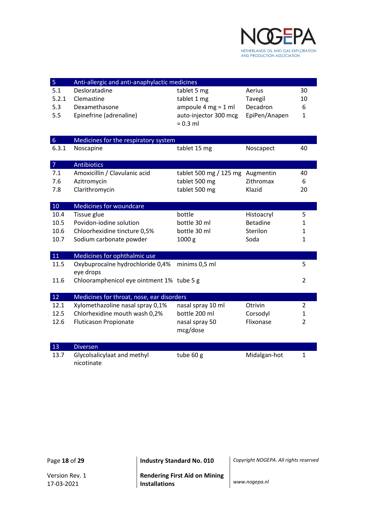

| $\sqrt{5}$       | Anti-allergic and anti-anaphylactic medicines |                                  |                 |                |
|------------------|-----------------------------------------------|----------------------------------|-----------------|----------------|
| 5.1              | Desloratadine                                 | tablet 5 mg                      | Aerius          | 30             |
| 5.2.1            | Clemastine                                    | tablet 1 mg                      | Tavegil         | 10             |
| 5.3              | Dexamethasone                                 | ampoule 4 mg = $1$ ml            | Decadron        | 6              |
| 5.5              | Epinefrine (adrenaline)                       | auto-injector 300 mcg            | EpiPen/Anapen   | 1              |
|                  |                                               | $= 0.3$ ml                       |                 |                |
|                  |                                               |                                  |                 |                |
| $6 \overline{6}$ | Medicines for the respiratory system          |                                  |                 |                |
| 6.3.1            | Noscapine                                     | tablet 15 mg                     | Noscapect       | 40             |
| $\overline{7}$   | <b>Antibiotics</b>                            |                                  |                 |                |
| 7.1              | Amoxicillin / Clavulanic acid                 | tablet 500 mg / 125 mg Augmentin |                 | 40             |
| 7.6              | Azitromycin                                   | tablet 500 mg                    | Zithromax       | 6              |
| 7.8              | Clarithromycin                                | tablet 500 mg                    | Klazid          | 20             |
|                  |                                               |                                  |                 |                |
| 10               | Medicines for woundcare                       |                                  |                 |                |
| 10.4             | Tissue glue                                   | bottle                           | Histoacryl      | 5              |
| 10.5             | Povidon-jodine solution                       | bottle 30 ml                     | <b>Betadine</b> | 1              |
| 10.6             | Chloorhexidine tincture 0,5%                  | bottle 30 ml                     | Sterilon        | 1              |
| 10.7             | Sodium carbonate powder                       | 1000 <sub>g</sub>                | Soda            | $\mathbf{1}$   |
| 11               | Medicines for ophthalmic use                  |                                  |                 |                |
| 11.5             | Oxybuprocaïne hydrochloride 0,4%              | minims 0,5 ml                    |                 | 5              |
|                  | eye drops                                     |                                  |                 |                |
| 11.6             | Chlooramphenicol eye ointment 1% tube 5 g     |                                  |                 | $\overline{2}$ |
|                  |                                               |                                  |                 |                |
| 12               | Medicines for throat, nose, ear disorders     |                                  |                 |                |
| 12.1             | Xylomethazoline nasal spray 0,1%              | nasal spray 10 ml                | Otrivin         | $\overline{2}$ |
| 12.5             | Chlorhexidine mouth wash 0,2%                 | bottle 200 ml                    | Corsodyl        | 1              |
| 12.6             | <b>Fluticason Propionate</b>                  | nasal spray 50                   | Flixonase       | $\overline{2}$ |
|                  |                                               | mcg/dose                         |                 |                |
| 13               | <b>Diversen</b>                               |                                  |                 |                |
| 13.7             | Glycolsalicylaat and methyl                   | tube 60 g                        | Midalgan-hot    | $\mathbf{1}$   |
|                  | nicotinate                                    |                                  |                 |                |

17-03-2021

Page **18** of **29 Industry Standard No. 010** *Copyright NOGEPA. All rights reserved*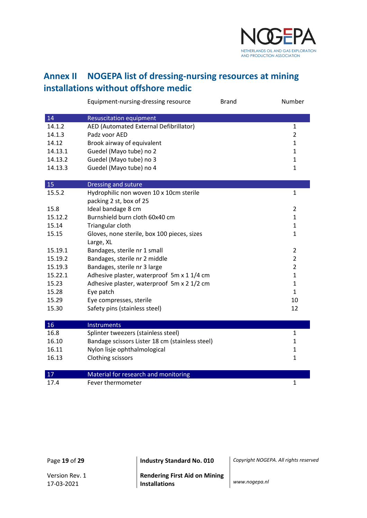

## <span id="page-18-0"></span>**Annex II NOGEPA list of dressing-nursing resources at mining installations without offshore medic**

|         | Equipment-nursing-dressing resource             | <b>Brand</b> | Number         |
|---------|-------------------------------------------------|--------------|----------------|
| 14      | <b>Resuscitation equipment</b>                  |              |                |
| 14.1.2  | AED (Automated External Defibrillator)          |              | $\mathbf{1}$   |
| 14.1.3  | Padz voor AED                                   |              | $\overline{2}$ |
| 14.12   | Brook airway of equivalent                      |              | $\mathbf{1}$   |
| 14.13.1 | Guedel (Mayo tube) no 2                         |              | $\mathbf{1}$   |
| 14.13.2 | Guedel (Mayo tube) no 3                         |              | 1              |
| 14.13.3 | Guedel (Mayo tube) no 4                         |              | 1              |
| 15      | Dressing and suture                             |              |                |
| 15.5.2  | Hydrophilic non woven 10 x 10cm sterile         |              | $\mathbf{1}$   |
|         | packing 2 st, box of 25                         |              |                |
| 15.8    | Ideal bandage 8 cm                              |              | 2              |
| 15.12.2 | Burnshield burn cloth 60x40 cm                  |              | $\mathbf{1}$   |
| 15.14   | Triangular cloth                                |              | $\mathbf{1}$   |
| 15.15   | Gloves, none sterile, box 100 pieces, sizes     |              | $\mathbf{1}$   |
|         | Large, XL                                       |              |                |
| 15.19.1 | Bandages, sterile nr 1 small                    |              | $\overline{2}$ |
| 15.19.2 | Bandages, sterile nr 2 middle                   |              | $\overline{2}$ |
| 15.19.3 | Bandages, sterile nr 3 large                    |              | $\overline{2}$ |
| 15.22.1 | Adhesive plaster, waterproof 5m x 1 1/4 cm      |              | $\mathbf{1}$   |
| 15.23   | Adhesive plaster, waterproof 5m x 2 1/2 cm      |              | $\mathbf{1}$   |
| 15.28   | Eye patch                                       |              | $\mathbf{1}$   |
| 15.29   | Eye compresses, sterile                         |              | 10             |
| 15.30   | Safety pins (stainless steel)                   |              | 12             |
| 16      | <b>Instruments</b>                              |              |                |
| 16.8    | Splinter tweezers (stainless steel)             |              | $\mathbf{1}$   |
| 16.10   | Bandage scissors Lister 18 cm (stainless steel) |              | 1              |
| 16.11   | Nylon lisje ophthalmological                    |              | $\mathbf{1}$   |
| 16.13   | Clothing scissors                               |              | $\mathbf{1}$   |
| 17      | Material for research and monitoring            |              |                |
| 17.4    | Fever thermometer                               |              | $\mathbf{1}$   |

Page **19** of **29 Industry Standard No. 010** *Copyright NOGEPA. All rights reserved*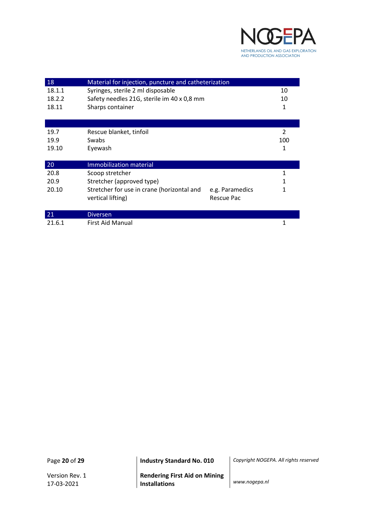

| 18     | Material for injection, puncture and catheterization |                      |  |
|--------|------------------------------------------------------|----------------------|--|
| 18.1.1 | Syringes, sterile 2 ml disposable                    | 10                   |  |
| 18.2.2 | Safety needles 21G, sterile im 40 x 0,8 mm           | 10                   |  |
| 18.11  | Sharps container                                     | 1                    |  |
|        |                                                      |                      |  |
|        |                                                      |                      |  |
| 19.7   | Rescue blanket, tinfoil                              | 2                    |  |
| 19.9   | Swabs                                                | 100                  |  |
| 19.10  | Eyewash                                              | 1                    |  |
|        |                                                      |                      |  |
| 20     | Immobilization material                              |                      |  |
| 20.8   | Scoop stretcher                                      | 1                    |  |
| 20.9   | Stretcher (approved type)                            | 1                    |  |
| 20.10  | Stretcher for use in crane (horizontal and           | 1<br>e.g. Paramedics |  |
|        | vertical lifting)                                    | Rescue Pac           |  |
|        |                                                      |                      |  |
| 21     | <b>Diversen</b>                                      |                      |  |
| 21.6.1 | <b>First Aid Manual</b>                              | 1                    |  |

**Rendering First Aid on Mining Installations** *www.nogepa.nl*

Page **20** of **29 Industry Standard No. 010** *Copyright NOGEPA. All rights reserved*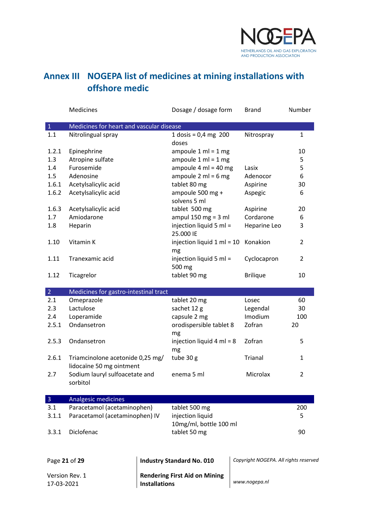

## <span id="page-20-0"></span>**Annex III NOGEPA list of medicines at mining installations with offshore medic**

|                | Medicines                                                    |                      | Dosage / dosage form                   | <b>Brand</b>                          | Number         |
|----------------|--------------------------------------------------------------|----------------------|----------------------------------------|---------------------------------------|----------------|
| $\mathbf{1}$   | Medicines for heart and vascular disease                     |                      |                                        |                                       |                |
| 1.1            | Nitrolingual spray                                           |                      | 1 dosis = $0,4$ mg 200<br>doses        | Nitrospray                            | $\mathbf{1}$   |
| 1.2.1          | Epinephrine                                                  |                      | ampoule $1 \text{ ml} = 1 \text{ mg}$  |                                       | 10             |
| 1.3            | Atropine sulfate                                             |                      | ampoule $1 ml = 1 mg$                  |                                       | 5              |
| 1.4            | Furosemide                                                   |                      | ampoule $4 \text{ ml} = 40 \text{ mg}$ | Lasix                                 | 5              |
| 1.5            | Adenosine                                                    |                      | ampoule $2 \text{ ml} = 6 \text{ mg}$  | Adenocor                              | 6              |
| 1.6.1          | Acetylsalicylic acid                                         |                      | tablet 80 mg                           | Aspirine                              | 30             |
| 1.6.2          | Acetylsalicylic acid                                         |                      | ampoule 500 mg +<br>solvens 5 ml       | Aspegic                               | 6              |
| 1.6.3          | Acetylsalicylic acid                                         |                      | tablet 500 mg                          | Aspirine                              | 20             |
| 1.7            | Amiodarone                                                   |                      | ampul 150 mg = $3$ ml                  | Cordarone                             | 6              |
| 1.8            | Heparin                                                      |                      | injection liquid 5 ml =<br>25.000 IE   | Heparine Leo                          | 3              |
| 1.10           | Vitamin K                                                    |                      | injection liquid 1 ml = 10<br>mg       | Konakion                              | 2              |
| 1.11           | Tranexamic acid                                              |                      | injection liquid 5 ml =<br>500 mg      | Cyclocapron                           | $\overline{2}$ |
| 1.12           | Ticagrelor                                                   |                      | tablet 90 mg                           | <b>Brilique</b>                       | 10             |
| 2 <sup>7</sup> | Medicines for gastro-intestinal tract                        |                      |                                        |                                       |                |
| 2.1            | Omeprazole                                                   |                      | tablet 20 mg                           | Losec                                 | 60             |
| 2.3            | Lactulose                                                    |                      | sachet 12 g                            | Legendal                              | 30             |
| 2.4            | Loperamide                                                   |                      | capsule 2 mg                           | Imodium                               | 100            |
| 2.5.1          | Ondansetron                                                  |                      | orodispersible tablet 8<br>mg          | Zofran                                | 20             |
| 2.5.3          | Ondansetron                                                  |                      | injection liquid 4 ml = 8<br>mg        | Zofran                                | 5              |
| 2.6.1          | Triamcinolone acetonide 0,25 mg/<br>lidocaïne 50 mg ointment |                      | tube 30 g                              | <b>Trianal</b>                        | $\mathbf{1}$   |
| 2.7            | Sodium lauryl sulfoacetate and<br>sorbitol                   |                      | enema 5 ml                             | Microlax                              | $\overline{2}$ |
| $\overline{3}$ | Analgesic medicines                                          |                      |                                        |                                       |                |
| 3.1            | Paracetamol (acetaminophen)                                  |                      | tablet 500 mg                          |                                       | 200            |
| 3.1.1          | Paracetamol (acetaminophen) IV                               |                      | injection liquid                       |                                       | 5              |
|                |                                                              |                      | 10mg/ml, bottle 100 ml                 |                                       |                |
| 3.3.1          | Diclofenac                                                   |                      | tablet 50 mg                           |                                       | 90             |
|                | Page 21 of 29                                                |                      | <b>Industry Standard No. 010</b>       | Copyright NOGEPA. All rights reserved |                |
|                |                                                              |                      |                                        |                                       |                |
| 17-03-2021     | Version Rev. 1                                               | <b>Installations</b> | <b>Rendering First Aid on Mining</b>   | www.nogepa.nl                         |                |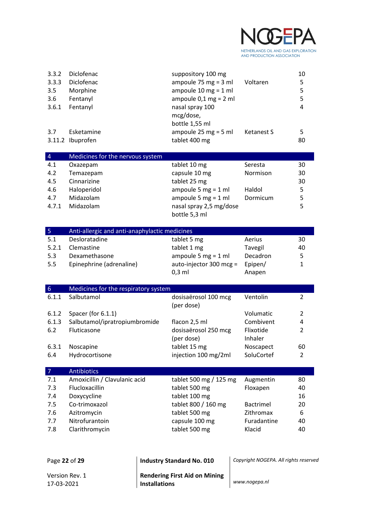

| 3.3.2<br>3.3.3<br>3.5<br>3.6<br>3.6.1 | Diclofenac<br>Diclofenac<br>Morphine<br>Fentanyl<br>Fentanyl | suppository 100 mg<br>ampoule 75 mg = $3$ ml<br>ampoule $10 \text{ mg} = 1 \text{ ml}$<br>ampoule $0,1$ mg = 2 ml<br>nasal spray 100<br>mcg/dose, | Voltaren          | 10<br>5<br>5<br>5<br>$\overline{4}$ |
|---------------------------------------|--------------------------------------------------------------|---------------------------------------------------------------------------------------------------------------------------------------------------|-------------------|-------------------------------------|
| 3.7                                   | Esketamine<br>3.11.2 Ibuprofen                               | bottle 1,55 ml<br>ampoule $25$ mg = $5$ ml<br>tablet 400 mg                                                                                       | <b>Ketanest S</b> | 5<br>80                             |
| $\overline{4}$                        | Medicines for the nervous system                             |                                                                                                                                                   |                   |                                     |
| 4.1                                   | Oxazepam                                                     | tablet 10 mg                                                                                                                                      | Seresta           | 30                                  |
| 4.2                                   | Temazepam                                                    | capsule 10 mg                                                                                                                                     | Normison          | 30                                  |
| 4.5                                   | Cinnarizine                                                  | tablet 25 mg                                                                                                                                      |                   | 30                                  |
| 4.6                                   | Haloperidol                                                  | ampoule 5 mg = $1$ ml                                                                                                                             | Haldol            | 5                                   |
| 4.7                                   | Midazolam                                                    | ampoule 5 mg = $1$ ml                                                                                                                             | Dormicum          | 5                                   |
| 4.7.1                                 | Midazolam                                                    | nasal spray 2,5 mg/dose                                                                                                                           |                   | 5                                   |
|                                       |                                                              | bottle 5,3 ml                                                                                                                                     |                   |                                     |
| 5 <sub>1</sub>                        | Anti-allergic and anti-anaphylactic medicines                |                                                                                                                                                   |                   |                                     |
| 5.1                                   | Desloratadine                                                | tablet 5 mg                                                                                                                                       | Aerius            | 30                                  |
| 5.2.1                                 | Clemastine                                                   | tablet 1 mg                                                                                                                                       | Tavegil           | 40                                  |
| 5.3                                   | Dexamethasone                                                | ampoule 5 mg = $1$ ml                                                                                                                             | Decadron          | 5                                   |
| 5.5                                   | Epinephrine (adrenaline)                                     | auto-injector 300 mcg =                                                                                                                           | Epipen/           | $\mathbf{1}$                        |
|                                       |                                                              | $0,3$ ml                                                                                                                                          | Anapen            |                                     |
| $6\,$                                 | Medicines for the respiratory system                         |                                                                                                                                                   |                   |                                     |
| 6.1.1                                 | Salbutamol                                                   | dosisaërosol 100 mcg                                                                                                                              | Ventolin          | $\overline{2}$                      |
|                                       |                                                              | (per dose)                                                                                                                                        |                   |                                     |
| 6.1.2                                 | Spacer (for 6.1.1)                                           |                                                                                                                                                   | Volumatic         | $\overline{2}$                      |
| 6.1.3                                 | Salbutamol/ipratropiumbromide                                | flacon 2,5 ml                                                                                                                                     | Combivent         | 4                                   |
| 6.2                                   | Fluticasone                                                  | dosisaërosol 250 mcg                                                                                                                              | Flixotide         | $\overline{2}$                      |
|                                       |                                                              | (per dose)                                                                                                                                        | Inhaler           |                                     |
|                                       | 6.3.1 Noscapine                                              | tablet 15 mg                                                                                                                                      | Noscapect         | 60                                  |
| 6.4                                   | Hydrocortisone                                               | injection 100 mg/2ml                                                                                                                              | SoluCortef        | $\overline{2}$                      |
| $\overline{7}$                        | <b>Antibiotics</b>                                           |                                                                                                                                                   |                   |                                     |
| 7.1                                   | Amoxicillin / Clavulanic acid                                | tablet 500 mg / 125 mg                                                                                                                            | Augmentin         | 80                                  |
| 7.3                                   | Flucloxacillin                                               | tablet 500 mg                                                                                                                                     | Floxapen          | 40                                  |
| 7.4                                   | Doxycycline                                                  | tablet 100 mg                                                                                                                                     |                   | 16                                  |
| 7.5                                   | Co-trimoxazol                                                | tablet 800 / 160 mg                                                                                                                               | <b>Bactrimel</b>  | 20                                  |
| 7.6                                   | Azitromycin                                                  | tablet 500 mg                                                                                                                                     | Zithromax         | 6                                   |
| 7.7                                   | Nitrofurantoin                                               | capsule 100 mg                                                                                                                                    | Furadantine       | 40                                  |
| 7.8                                   | Clarithromycin                                               | tablet 500 mg                                                                                                                                     | Klacid            | 40                                  |
|                                       |                                                              |                                                                                                                                                   |                   |                                     |

| Page 22 of 29                | Industry Standard No. 010                                    | Copyright NOGEPA. All rights reserved |
|------------------------------|--------------------------------------------------------------|---------------------------------------|
| Version Rev. 1<br>17-03-2021 | <b>Rendering First Aid on Mining</b><br><b>Installations</b> | www.nogepa.nl                         |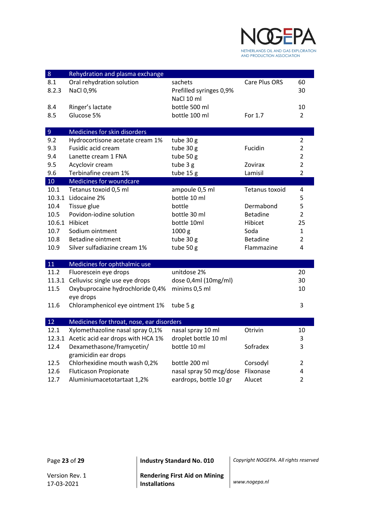

| $\bf 8$        | Rehydration and plasma exchange           |                         |                 |                |
|----------------|-------------------------------------------|-------------------------|-----------------|----------------|
| 8.1            | Oral rehydration solution                 | sachets                 | Care Plus ORS   | 60             |
| 8.2.3          | NaCl 0,9%                                 | Prefilled syringes 0,9% |                 | 30             |
|                |                                           | NaCl 10 ml              |                 |                |
| 8.4            | Ringer's lactate                          | bottle 500 ml           |                 | 10             |
| 8.5            | Glucose 5%                                | bottle 100 ml           | For 1.7         | $\overline{2}$ |
|                |                                           |                         |                 |                |
| $\overline{9}$ | Medicines for skin disorders              |                         |                 |                |
| 9.2            | Hydrocortisone acetate cream 1%           | tube 30 g               |                 | $\overline{2}$ |
| 9.3            | Fusidic acid cream                        | tube 30 g               | Fucidin         | $\overline{2}$ |
| 9.4            | Lanette cream 1 FNA                       | tube 50 g               |                 | $\overline{2}$ |
| 9.5            | Acyclovir cream                           | tube 3 g                | Zovirax         | $\overline{2}$ |
| 9.6            | Terbinafine cream 1%                      | tube 15 g               | Lamisil         | $\overline{2}$ |
| 10             | <b>Medicines for woundcare</b>            |                         |                 |                |
| 10.1           | Tetanus toxoid 0,5 ml                     | ampoule 0,5 ml          | Tetanus toxoid  | 4              |
|                | 10.3.1 Lidocaine 2%                       | bottle 10 ml            |                 | 5              |
| 10.4           | Tissue glue                               | bottle                  | Dermabond       | 5              |
| 10.5           | Povidon-iodine solution                   | bottle 30 ml            | <b>Betadine</b> | $\overline{2}$ |
|                | 10.6.1 Hibicet                            | bottle 10ml             | Hibicet         | 25             |
| 10.7           | Sodium ointment                           | 1000 g                  | Soda            | $\mathbf{1}$   |
| 10.8           | <b>Betadine ointment</b>                  | tube 30 g               | <b>Betadine</b> | $\overline{2}$ |
| 10.9           | Silver sulfadiazine cream 1%              | tube 50 g               | Flammazine      | 4              |
|                |                                           |                         |                 |                |
| 11             | Medicines for ophthalmic use              |                         |                 |                |
| 11.2           | Fluorescein eye drops                     | unitdose 2%             |                 | 20             |
|                | 11.3.1 Celluvisc single use eye drops     | dose 0,4ml (10mg/ml)    |                 | 30             |
| 11.5           | Oxybuprocaine hydrochloride 0,4%          | minims 0,5 ml           |                 | 10             |
|                | eye drops                                 |                         |                 |                |
| 11.6           | Chloramphenicol eye ointment 1%           | tube 5 g                |                 | 3              |
|                |                                           |                         |                 |                |
| 12             | Medicines for throat, nose, ear disorders |                         |                 |                |
| 12.1           | Xylomethazoline nasal spray 0,1%          | nasal spray 10 ml       | Otrivin         | 10             |
|                | 12.3.1 Acetic acid ear drops with HCA 1%  | droplet bottle 10 ml    |                 | 3              |
| 12.4           | Dexamethasone/framycetin/                 | bottle 10 ml            | Sofradex        | 3              |
|                | gramicidin ear drops                      |                         |                 |                |
| 12.5           | Chlorhexidine mouth wash 0,2%             | bottle 200 ml           | Corsodyl        | $\overline{2}$ |
| 12.6           | <b>Fluticason Propionate</b>              | nasal spray 50 mcg/dose | Flixonase       | 4              |
| 12.7           | Aluminiumacetotartaat 1,2%                | eardrops, bottle 10 gr  | Alucet          | $\overline{2}$ |

Page **23** of **29 Industry Standard No. 010** *Copyright NOGEPA. All rights reserved*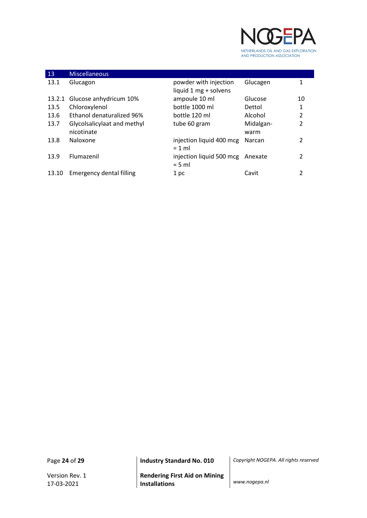

| 13     | <b>Miscellaneous</b>                      |                                                |                   |                |
|--------|-------------------------------------------|------------------------------------------------|-------------------|----------------|
| 13.1   | Glucagon                                  | powder with injection<br>liquid 1 mg + solvens | Glucagen          | 1              |
| 13.2.1 | Glucose anhydricum 10%                    | ampoule 10 ml                                  | Glucose           | 10             |
| 13.5   | Chloroxylenol                             | bottle 1000 ml                                 | Dettol            | 1              |
| 13.6   | Ethanol denaturalized 96%                 | bottle 120 ml                                  | Alcohol           | $\overline{2}$ |
| 13.7   | Glycolsalicylaat and methyl<br>nicotinate | tube 60 gram                                   | Midalgan-<br>warm | $\overline{2}$ |
| 13.8   | Naloxone                                  | injection liquid 400 mcg<br>$= 1$ ml           | Narcan            | 2              |
| 13.9   | Flumazenil                                | injection liquid 500 mcg<br>$= 5$ ml           | Anexate           | $\mathcal{P}$  |
| 13.10  | <b>Emergency dental filling</b>           | 1 pc                                           | Cavit             | 2              |

Version Rev. 1 17-03-2021

**Rendering First Aid on Mining Installations** *www.nogepa.nl*

Page **24** of **29 Industry Standard No. 010** *Copyright NOGEPA. All rights reserved*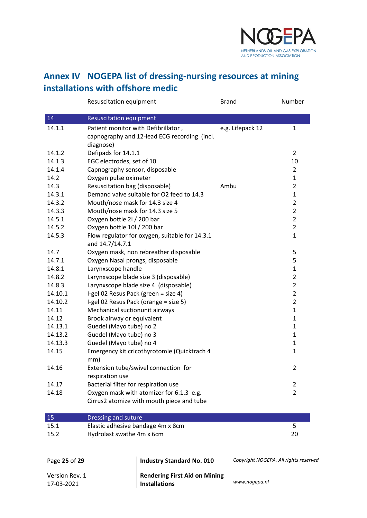

## <span id="page-24-0"></span>**Annex IV NOGEPA list of dressing-nursing resources at mining installations with offshore medic**

|                | Resuscitation equipment                          |                                                | <b>Brand</b>     | Number                                |
|----------------|--------------------------------------------------|------------------------------------------------|------------------|---------------------------------------|
| 14             | <b>Resuscitation equipment</b>                   |                                                |                  |                                       |
| 14.1.1         | Patient monitor with Defibrillator,<br>diagnose) | capnography and 12-lead ECG recording (incl.   | e.g. Lifepack 12 | $\mathbf{1}$                          |
| 14.1.2         | Defipads for 14.1.1                              |                                                |                  | $\overline{2}$                        |
| 14.1.3         | EGC electrodes, set of 10                        |                                                |                  | 10                                    |
| 14.1.4         | Capnography sensor, disposable                   |                                                |                  | $\overline{2}$                        |
| 14.2           | Oxygen pulse oximeter                            |                                                |                  | $\mathbf{1}$                          |
| 14.3           | Resuscitation bag (disposable)                   |                                                | Ambu             | $\overline{2}$                        |
| 14.3.1         |                                                  | Demand valve suitable for O2 feed to 14.3      |                  | $\mathbf{1}$                          |
| 14.3.2         | Mouth/nose mask for 14.3 size 4                  |                                                |                  | $\overline{2}$                        |
| 14.3.3         | Mouth/nose mask for 14.3 size 5                  |                                                |                  | $\overline{2}$                        |
| 14.5.1         | Oxygen bottle 2l / 200 bar                       |                                                |                  | $\overline{2}$                        |
| 14.5.2         | Oxygen bottle 10l / 200 bar                      |                                                |                  | $\overline{2}$                        |
| 14.5.3         | and 14.7/14.7.1                                  | Flow regulator for oxygen, suitable for 14.3.1 |                  | $\mathbf{1}$                          |
| 14.7           |                                                  | Oxygen mask, non rebreather disposable         |                  | 5                                     |
| 14.7.1         | Oxygen Nasal prongs, disposable                  |                                                |                  | 5                                     |
| 14.8.1         | Larynxscope handle                               |                                                |                  | $\mathbf{1}$                          |
| 14.8.2         |                                                  | Larynxscope blade size 3 (disposable)          |                  | $\overline{2}$                        |
| 14.8.3         |                                                  | Larynxscope blade size 4 (disposable)          |                  | $\overline{2}$                        |
| 14.10.1        | I-gel 02 Resus Pack (green = size 4)             |                                                |                  | $\overline{2}$                        |
| 14.10.2        |                                                  | I-gel 02 Resus Pack (orange = size 5)          |                  | $\overline{2}$                        |
| 14.11          | Mechanical suctionunit airways                   |                                                |                  | $\mathbf{1}$                          |
| 14.12          | Brook airway or equivalent                       |                                                |                  | $\mathbf{1}$                          |
| 14.13.1        | Guedel (Mayo tube) no 2                          |                                                |                  | $\mathbf{1}$                          |
| 14.13.2        | Guedel (Mayo tube) no 3                          |                                                |                  | $\mathbf{1}$                          |
| 14.13.3        | Guedel (Mayo tube) no 4                          |                                                |                  | $\mathbf{1}$                          |
| 14.15          | mm)                                              | Emergency kit cricothyrotomie (Quicktrach 4    |                  | $\mathbf{1}$                          |
| 14.16          | respiration use                                  | Extension tube/swivel connection for           |                  | $\overline{2}$                        |
| 14.17          | Bacterial filter for respiration use             |                                                |                  | 2                                     |
| 14.18          |                                                  | Oxygen mask with atomizer for 6.1.3 e.g.       |                  | $\overline{2}$                        |
|                |                                                  | Cirrus2 atomize with mouth piece and tube      |                  |                                       |
| 15             | Dressing and suture                              |                                                |                  |                                       |
| 15.1           | Elastic adhesive bandage 4m x 8cm                |                                                |                  | 5                                     |
| 15.2           | Hydrolast swathe 4m x 6cm                        |                                                |                  | 20                                    |
| Page 25 of 29  |                                                  | <b>Industry Standard No. 010</b>               |                  | Copyright NOGEPA. All rights reserved |
|                |                                                  |                                                |                  |                                       |
| Version Rev. 1 |                                                  | <b>Rendering First Aid on Mining</b>           |                  |                                       |
| 17-03-2021     |                                                  | <b>Installations</b>                           | www.nogepa.nl    |                                       |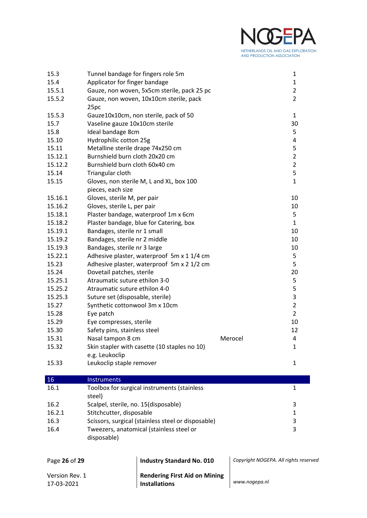

| 15.3           | Tunnel bandage for fingers role 5m   |                                                    |                                       | $\mathbf{1}$   |
|----------------|--------------------------------------|----------------------------------------------------|---------------------------------------|----------------|
| 15.4           | Applicator for finger bandage        |                                                    |                                       | $\mathbf{1}$   |
| 15.5.1         |                                      | Gauze, non woven, 5x5cm sterile, pack 25 pc        |                                       | $\overline{2}$ |
| 15.5.2         |                                      | Gauze, non woven, 10x10cm sterile, pack            |                                       | $\overline{2}$ |
|                | 25pc                                 |                                                    |                                       |                |
| 15.5.3         |                                      | Gauze10x10cm, non sterile, pack of 50              |                                       | $\mathbf{1}$   |
| 15.7           | Vaseline gauze 10x10cm sterile       |                                                    |                                       | 30             |
| 15.8           | Ideal bandage 8cm                    |                                                    |                                       | 5              |
| 15.10          | Hydrophilic cotton 25g               |                                                    |                                       | 4              |
| 15.11          | Metalline sterile drape 74x250 cm    |                                                    |                                       | 5              |
| 15.12.1        | Burnshield burn cloth 20x20 cm       |                                                    |                                       | $\overline{2}$ |
| 15.12.2        | Burnshield burn cloth 60x40 cm       |                                                    |                                       | $\overline{2}$ |
| 15.14          | Triangular cloth                     |                                                    |                                       | 5              |
| 15.15          |                                      | Gloves, non sterile M, L and XL, box 100           |                                       | $\mathbf{1}$   |
|                | pieces, each size                    |                                                    |                                       |                |
| 15.16.1        | Gloves, sterile M, per pair          |                                                    |                                       | 10             |
| 15.16.2        | Gloves, sterile L, per pair          |                                                    |                                       | 10             |
| 15.18.1        |                                      | Plaster bandage, waterproof 1m x 6cm               |                                       | 5              |
| 15.18.2        |                                      | Plaster bandage, blue for Catering, box            |                                       | $\mathbf{1}$   |
| 15.19.1        | Bandages, sterile nr 1 small         |                                                    |                                       | 10             |
| 15.19.2        | Bandages, sterile nr 2 middle        |                                                    |                                       | 10             |
| 15.19.3        | Bandages, sterile nr 3 large         |                                                    |                                       | 10             |
| 15.22.1        |                                      | Adhesive plaster, waterproof 5m x 1 1/4 cm         |                                       | 5              |
| 15.23          |                                      | Adhesive plaster, waterproof 5m x 2 1/2 cm         |                                       | 5              |
| 15.24          | Dovetail patches, sterile            |                                                    |                                       | 20             |
| 15.25.1        | Atraumatic suture ethilon 3-0        |                                                    |                                       | 5              |
| 15.25.2        | Atraumatic suture ethilon 4-0        |                                                    |                                       | 5              |
| 15.25.3        | Suture set (disposable, sterile)     |                                                    |                                       | 3              |
| 15.27          | Synthetic cottonwool 3m x 10cm       |                                                    |                                       | $\overline{2}$ |
| 15.28          | Eye patch                            |                                                    |                                       | $\overline{2}$ |
| 15.29          | Eye compresses, sterile              |                                                    |                                       | 10             |
| 15.30          | Safety pins, stainless steel         |                                                    |                                       | 12             |
| 15.31          | Nasal tampon 8 cm                    |                                                    | Merocel                               | 4              |
| 15.32          |                                      | Skin stapler with casette (10 staples no 10)       |                                       | 1              |
|                | e.g. Leukoclip                       |                                                    |                                       |                |
| 15.33          | Leukoclip staple remover             |                                                    |                                       | $\mathbf{1}$   |
|                |                                      |                                                    |                                       |                |
| <b>16</b>      | Instruments                          |                                                    |                                       |                |
| 16.1           |                                      | Toolbox for surgical instruments (stainless        |                                       | $\mathbf{1}$   |
|                | steel)                               |                                                    |                                       |                |
| 16.2           | Scalpel, sterile, no. 15(disposable) |                                                    |                                       | 3              |
| 16.2.1         | Stitchcutter, disposable             |                                                    |                                       | $\mathbf{1}$   |
| 16.3           |                                      | Scissors, surgical (stainless steel or disposable) |                                       | 3              |
| 16.4           |                                      | Tweezers, anatomical (stainless steel or           |                                       | 3              |
|                | disposable)                          |                                                    |                                       |                |
|                |                                      |                                                    |                                       |                |
|                |                                      |                                                    |                                       |                |
| Page 26 of 29  |                                      | <b>Industry Standard No. 010</b>                   | Copyright NOGEPA. All rights reserved |                |
| Version Rev. 1 |                                      | <b>Rendering First Aid on Mining</b>               |                                       |                |

| Version Rev. 1 |  |
|----------------|--|
| 17-03-2021     |  |

**Installations** *www.nogepa.nl*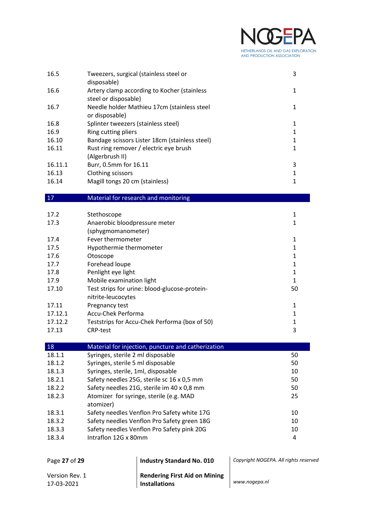#### Ì  $\gamma$ k PΔ NETHERLANDS OIL AND GAS EXPLORATION AND PRODUCTION ASSOCIATION

| 16.5    | Tweezers, surgical (stainless steel or<br>disposable)               | 3 |
|---------|---------------------------------------------------------------------|---|
| 16.6    | Artery clamp according to Kocher (stainless<br>steel or disposable) |   |
| 16.7    | Needle holder Mathieu 17cm (stainless steel<br>or disposable)       |   |
| 16.8    | Splinter tweezers (stainless steel)                                 |   |
| 16.9    | Ring cutting pliers                                                 |   |
| 16.10   | Bandage scissors Lister 18cm (stainless steel)                      | 1 |
| 16.11   | Rust ring remover / electric eye brush                              | 1 |
|         | (Algerbrush II)                                                     |   |
| 16.11.1 | Burr, 0.5mm for 16.11                                               | 3 |
| 16.13   | Clothing scissors                                                   |   |
| 16.14   | Magill tongs 20 cm (stainless)                                      |   |

17 Material for research and monitoring

| 17.2    | Stethoscope                                   |    |
|---------|-----------------------------------------------|----|
| 17.3    | Anaerobic bloodpressure meter                 |    |
|         | (sphygmomanometer)                            |    |
| 17.4    | Fever thermometer                             |    |
| 17.5    | Hypothermie thermometer                       |    |
| 17.6    | Otoscope                                      |    |
| 17.7    | Forehead loupe                                |    |
| 17.8    | Penlight eye light                            |    |
| 17.9    | Mobile examination light                      |    |
| 17.10   | Test strips for urine: blood-glucose-protein- | 50 |
|         | nitrite-leucocytes                            |    |
| 17.11   | Pregnancy test                                | 1  |
| 17.12.1 | Accu-Chek Performa                            |    |
| 17.12.2 | Teststrips for Accu-Chek Performa (box of 50) |    |
| 17.13   | <b>CRP-test</b>                               | 3  |

| 18     | Material for injection, puncture and catherization |    |
|--------|----------------------------------------------------|----|
| 18.1.1 | Syringes, sterile 2 ml disposable                  | 50 |
| 18.1.2 | Syringes, sterile 5 ml disposable                  | 50 |
| 18.1.3 | Syringes, sterile, 1ml, disposable                 | 10 |
| 18.2.1 | Safety needles 25G, sterile sc 16 x 0,5 mm         | 50 |
| 18.2.2 | Safety needles 21G, sterile im 40 x 0,8 mm         | 50 |
| 18.2.3 | Atomizer for syringe, sterile (e.g. MAD            | 25 |
|        | atomizer)                                          |    |
| 18.3.1 | Safety needles Venflon Pro Safety white 17G        | 10 |
| 18.3.2 | Safety needles Venflon Pro Safety green 18G        | 10 |
| 18.3.3 | Safety needles Venflon Pro Safety pink 20G         | 10 |
| 18.3.4 | Intraflon 12G x 80mm                               | 4  |
|        |                                                    |    |

| Page 27 of 29                | <b>Industry Standard No. 010</b>                             | Copyright NOGEPA. All rights reserved |
|------------------------------|--------------------------------------------------------------|---------------------------------------|
| Version Rev. 1<br>17-03-2021 | <b>Rendering First Aid on Mining</b><br><b>Installations</b> | www.nogepa.nl                         |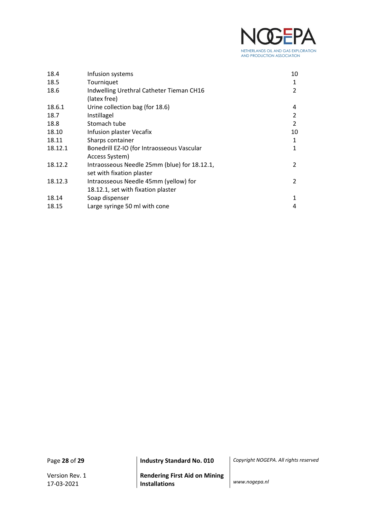

| 18.4    | Infusion systems                             | 10             |
|---------|----------------------------------------------|----------------|
| 18.5    | Tourniquet                                   | 1              |
| 18.6    | Indwelling Urethral Catheter Tieman CH16     | 2              |
|         | (latex free)                                 |                |
| 18.6.1  | Urine collection bag (for 18.6)              | 4              |
| 18.7    | Instillagel                                  | 2              |
| 18.8    | Stomach tube                                 | $\overline{2}$ |
| 18.10   | Infusion plaster Vecafix                     | 10             |
| 18.11   | Sharps container                             | 1              |
| 18.12.1 | Bonedrill EZ-IO (for Intraosseous Vascular   | $\mathbf{1}$   |
|         | Access System)                               |                |
| 18.12.2 | Intraosseous Needle 25mm (blue) for 18.12.1, | 2              |
|         | set with fixation plaster                    |                |
| 18.12.3 | Intraosseous Needle 45mm (yellow) for        | 2              |
|         | 18.12.1, set with fixation plaster           |                |
| 18.14   | Soap dispenser                               | $\mathbf{1}$   |
| 18.15   | Large syringe 50 ml with cone                | 4              |

Page **28** of **29 Industry Standard No. 010** *Copyright NOGEPA. All rights reserved*